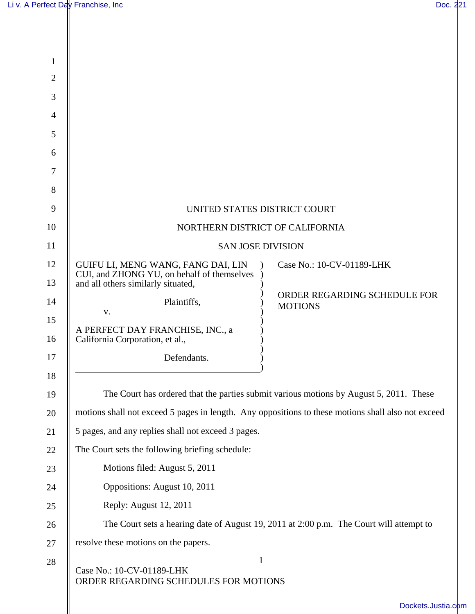| $\mathbf{1}$   |                                                                                                    |                                                |
|----------------|----------------------------------------------------------------------------------------------------|------------------------------------------------|
| $\overline{2}$ |                                                                                                    |                                                |
| 3              |                                                                                                    |                                                |
| $\overline{4}$ |                                                                                                    |                                                |
| 5              |                                                                                                    |                                                |
| 6              |                                                                                                    |                                                |
| $\overline{7}$ |                                                                                                    |                                                |
| 8              |                                                                                                    |                                                |
| 9              | UNITED STATES DISTRICT COURT                                                                       |                                                |
| 10             | NORTHERN DISTRICT OF CALIFORNIA                                                                    |                                                |
| 11             | <b>SAN JOSE DIVISION</b>                                                                           |                                                |
| 12             | GUIFU LI, MENG WANG, FANG DAI, LIN<br>CUI, and ZHONG YU, on behalf of themselves                   | Case No.: 10-CV-01189-LHK                      |
| 13             | and all others similarly situated,                                                                 |                                                |
| 14             | Plaintiffs,<br>V.                                                                                  | ORDER REGARDING SCHEDULE FOR<br><b>MOTIONS</b> |
| 15             | A PERFECT DAY FRANCHISE, INC., a                                                                   |                                                |
| 16             | California Corporation, et al.,                                                                    |                                                |
| 17             | Defendants.                                                                                        |                                                |
| 18             |                                                                                                    |                                                |
| 19             | The Court has ordered that the parties submit various motions by August 5, 2011. These             |                                                |
| 20             | motions shall not exceed 5 pages in length. Any oppositions to these motions shall also not exceed |                                                |
| 21             | 5 pages, and any replies shall not exceed 3 pages.                                                 |                                                |
| 22             | The Court sets the following briefing schedule:                                                    |                                                |
| 23             | Motions filed: August 5, 2011                                                                      |                                                |
| 24             | Oppositions: August 10, 2011                                                                       |                                                |
| 25             | Reply: August 12, 2011                                                                             |                                                |
| 26             | The Court sets a hearing date of August 19, 2011 at 2:00 p.m. The Court will attempt to            |                                                |
| 27             | resolve these motions on the papers.                                                               |                                                |
| 28             | $\mathbf{1}$<br>Case No.: 10-CV-01189-LHK<br>ORDER REGARDING SCHEDULES FOR MOTIONS                 |                                                |
|                |                                                                                                    | Dockets.Justia.com                             |